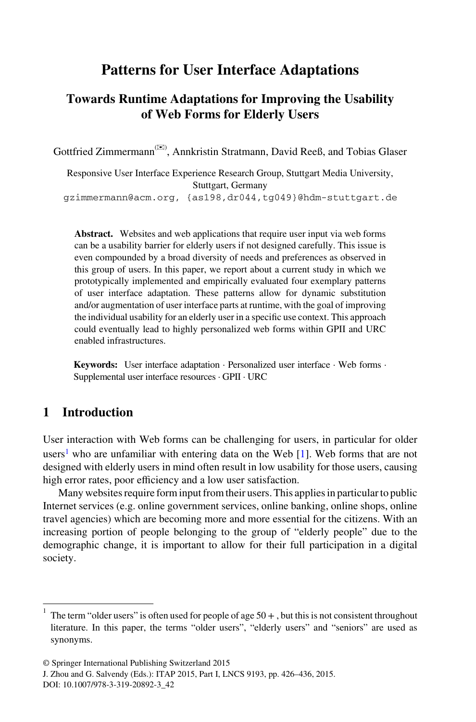# **Patterns for User Interface Adaptations**

## **Towards Runtime Adaptations for Improving the Usability of Web Forms for Elderly Users**

Gottfried Zimmermann<sup>(ESI)</sup>, Annkristin Stratmann, David Reeß, and Tobias Glaser

Responsive User Interface Experience Research Group, Stuttgart Media University, Stuttgart, Germany gzimmermann@acm.org, {as198,dr044,tg049}@hdm-stuttgart.de

**Abstract.** Websites and web applications that require user input via web forms can be a usability barrier for elderly users if not designed carefully. This issue is even compounded by a broad diversity of needs and preferences as observed in this group of users. In this paper, we report about a current study in which we prototypically implemented and empirically evaluated four exemplary patterns of user interface adaptation. These patterns allow for dynamic substitution and/or augmentation of user interface parts at runtime, with the goal of improving the individual usability for an elderly user in a specific use context. This approach could eventually lead to highly personalized web forms within GPII and URC enabled infrastructures.

**Keywords:** User interface adaptation · Personalized user interface · Web forms · Supplemental user interface resources · GPII · URC

## **1 Introduction**

User interaction with Web forms can be challenging for users, in particular for older users<sup>1</sup> who are unfamiliar with entering data on the Web [\[1](#page-9-0)]. Web forms that are not designed with elderly users in mind often result in low usability for those users, causing high error rates, poor efficiency and a low user satisfaction.

Many websites require form input from their users. This applies in particular to public Internet services (e.g. online government services, online banking, online shops, online travel agencies) which are becoming more and more essential for the citizens. With an increasing portion of people belonging to the group of "elderly people" due to the demographic change, it is important to allow for their full participation in a digital society.

J. Zhou and G. Salvendy (Eds.): ITAP 2015, Part I, LNCS 9193, pp. 426–436, 2015.

DOI: 10.1007/978-3-319-20892-3\_42

The term "older users" is often used for people of age  $50 +$ , but this is not consistent throughout literature. In this paper, the terms "older users", "elderly users" and "seniors" are used as synonyms.

<sup>©</sup> Springer International Publishing Switzerland 2015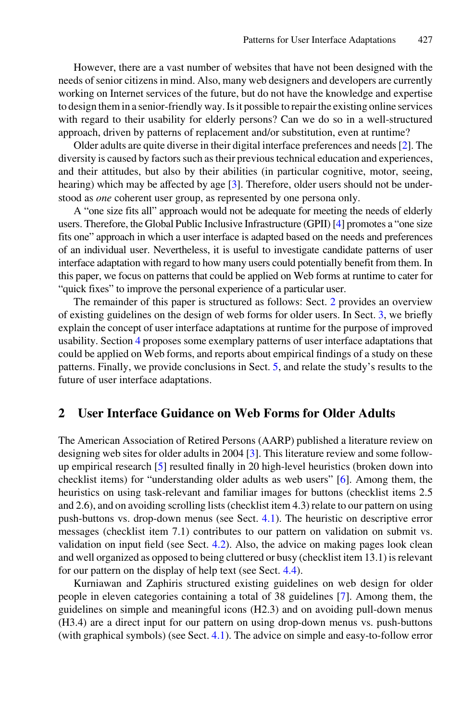<span id="page-1-0"></span>However, there are a vast number of websites that have not been designed with the needs of senior citizens in mind. Also, many web designers and developers are currently working on Internet services of the future, but do not have the knowledge and expertise to design them in a senior-friendly way. Is it possible to repair the existing online services with regard to their usability for elderly persons? Can we do so in a well-structured approach, driven by patterns of replacement and/or substitution, even at runtime?

Older adults are quite diverse in their digital interface preferences and needs [\[2](#page-9-0)]. The diversity is caused by factors such as their previous technical education and experiences, and their attitudes, but also by their abilities (in particular cognitive, motor, seeing, hearing) which may be affected by age [[3\]](#page-9-0). Therefore, older users should not be understood as *one* coherent user group, as represented by one persona only.

A "one size fits all" approach would not be adequate for meeting the needs of elderly users. Therefore, the Global Public Inclusive Infrastructure (GPII) [\[4](#page-9-0)] promotes a "one size fits one" approach in which a user interface is adapted based on the needs and preferences of an individual user. Nevertheless, it is useful to investigate candidate patterns of user interface adaptation with regard to how many users could potentially benefit from them. In this paper, we focus on patterns that could be applied on Web forms at runtime to cater for "quick fixes" to improve the personal experience of a particular user.

The remainder of this paper is structured as follows: Sect. 2 provides an overview of existing guidelines on the design of web forms for older users. In Sect. [3](#page-2-0), we briefly explain the concept of user interface adaptations at runtime for the purpose of improved usability. Section [4](#page-3-0) proposes some exemplary patterns of user interface adaptations that could be applied on Web forms, and reports about empirical findings of a study on these patterns. Finally, we provide conclusions in Sect. [5](#page-8-0), and relate the study's results to the future of user interface adaptations.

#### **2 User Interface Guidance on Web Forms for Older Adults**

The American Association of Retired Persons (AARP) published a literature review on designing web sites for older adults in 2004 [[3\]](#page-9-0). This literature review and some followup empirical research [[5\]](#page-9-0) resulted finally in 20 high-level heuristics (broken down into checklist items) for "understanding older adults as web users" [\[6](#page-9-0)]. Among them, the heuristics on using task-relevant and familiar images for buttons (checklist items 2.5 and 2.6), and on avoiding scrolling lists (checklist item 4.3) relate to our pattern on using push-buttons vs. drop-down menus (see Sect. [4.1\)](#page-4-0). The heuristic on descriptive error messages (checklist item 7.1) contributes to our pattern on validation on submit vs. validation on input field (see Sect. [4.2](#page-4-0)). Also, the advice on making pages look clean and well organized as opposed to being cluttered or busy (checklist item 13.1) is relevant for our pattern on the display of help text (see Sect. [4.4](#page-5-0)).

Kurniawan and Zaphiris structured existing guidelines on web design for older people in eleven categories containing a total of 38 guidelines [\[7](#page-9-0)]. Among them, the guidelines on simple and meaningful icons (H2.3) and on avoiding pull-down menus (H3.4) are a direct input for our pattern on using drop-down menus vs. push-buttons (with graphical symbols) (see Sect. [4.1](#page-4-0)). The advice on simple and easy-to-follow error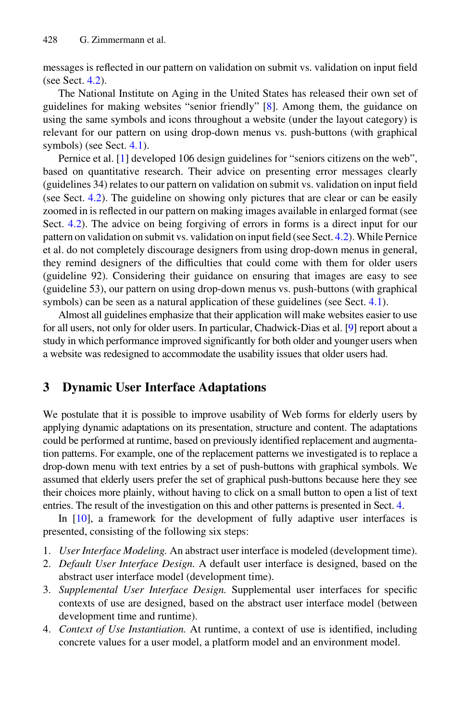<span id="page-2-0"></span>messages is reflected in our pattern on validation on submit vs. validation on input field (see Sect. [4.2](#page-4-0)).

The National Institute on Aging in the United States has released their own set of guidelines for making websites "senior friendly" [\[8](#page-9-0)]. Among them, the guidance on using the same symbols and icons throughout a website (under the layout category) is relevant for our pattern on using drop-down menus vs. push-buttons (with graphical symbols) (see Sect. [4.1](#page-4-0)).

Pernice et al. [[1\]](#page-9-0) developed 106 design guidelines for "seniors citizens on the web", based on quantitative research. Their advice on presenting error messages clearly (guidelines 34) relates to our pattern on validation on submit vs. validation on input field (see Sect. [4.2\)](#page-4-0). The guideline on showing only pictures that are clear or can be easily zoomed in is reflected in our pattern on making images available in enlarged format (see Sect. [4.2](#page-4-0)). The advice on being forgiving of errors in forms is a direct input for our pattern on validation on submit vs. validation on input field (see Sect. [4.2\)](#page-4-0). While Pernice et al. do not completely discourage designers from using drop-down menus in general, they remind designers of the difficulties that could come with them for older users (guideline 92). Considering their guidance on ensuring that images are easy to see (guideline 53), our pattern on using drop-down menus vs. push-buttons (with graphical symbols) can be seen as a natural application of these guidelines (see Sect. [4.1](#page-4-0)).

Almost all guidelines emphasize that their application will make websites easier to use for all users, not only for older users. In particular, Chadwick-Dias et al. [[9\]](#page-9-0) report about a study in which performance improved significantly for both older and younger users when a website was redesigned to accommodate the usability issues that older users had.

## **3 Dynamic User Interface Adaptations**

We postulate that it is possible to improve usability of Web forms for elderly users by applying dynamic adaptations on its presentation, structure and content. The adaptations could be performed at runtime, based on previously identified replacement and augmentation patterns. For example, one of the replacement patterns we investigated is to replace a drop-down menu with text entries by a set of push-buttons with graphical symbols. We assumed that elderly users prefer the set of graphical push-buttons because here they see their choices more plainly, without having to click on a small button to open a list of text entries. The result of the investigation on this and other patterns is presented in Sect. [4](#page-3-0).

In [\[10](#page-9-0)], a framework for the development of fully adaptive user interfaces is presented, consisting of the following six steps:

- 1. *User Interface Modeling.* An abstract user interface is modeled (development time).
- 2. *Default User Interface Design.* A default user interface is designed, based on the abstract user interface model (development time).
- 3. *Supplemental User Interface Design.* Supplemental user interfaces for specific contexts of use are designed, based on the abstract user interface model (between development time and runtime).
- 4. *Context of Use Instantiation.* At runtime, a context of use is identified, including concrete values for a user model, a platform model and an environment model.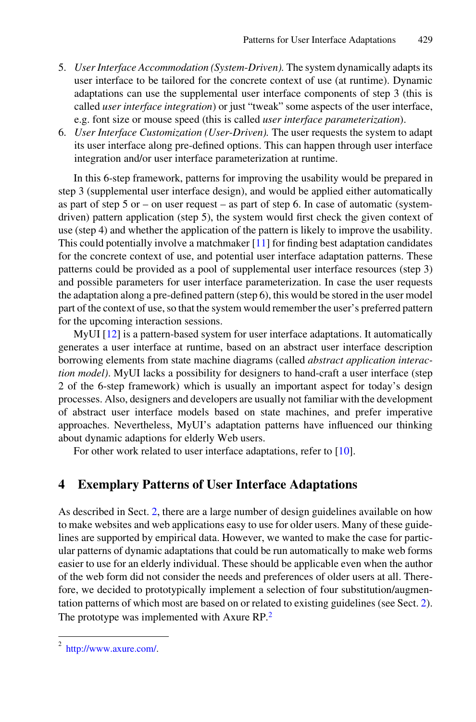- <span id="page-3-0"></span>5. *User Interface Accommodation (System*-*Driven).* The system dynamically adapts its user interface to be tailored for the concrete context of use (at runtime). Dynamic adaptations can use the supplemental user interface components of step 3 (this is called *user interface integration*) or just "tweak" some aspects of the user interface, e.g. font size or mouse speed (this is called *user interface parameterization*).
- 6. *User Interface Customization (User*-*Driven).* The user requests the system to adapt its user interface along pre-defined options. This can happen through user interface integration and/or user interface parameterization at runtime.

In this 6-step framework, patterns for improving the usability would be prepared in step 3 (supplemental user interface design), and would be applied either automatically as part of step  $5$  or – on user request – as part of step 6. In case of automatic (systemdriven) pattern application (step 5), the system would first check the given context of use (step 4) and whether the application of the pattern is likely to improve the usability. This could potentially involve a matchmaker [\[11](#page-9-0)] for finding best adaptation candidates for the concrete context of use, and potential user interface adaptation patterns. These patterns could be provided as a pool of supplemental user interface resources (step 3) and possible parameters for user interface parameterization. In case the user requests the adaptation along a pre-defined pattern (step 6), this would be stored in the user model part of the context of use, so that the system would remember the user's preferred pattern for the upcoming interaction sessions.

MyUI [\[12](#page-10-0)] is a pattern-based system for user interface adaptations. It automatically generates a user interface at runtime, based on an abstract user interface description borrowing elements from state machine diagrams (called *abstract application interac‐ tion model)*. MyUI lacks a possibility for designers to hand-craft a user interface (step 2 of the 6-step framework) which is usually an important aspect for today's design processes. Also, designers and developers are usually not familiar with the development of abstract user interface models based on state machines, and prefer imperative approaches. Nevertheless, MyUI's adaptation patterns have influenced our thinking about dynamic adaptions for elderly Web users.

For other work related to user interface adaptations, refer to [[10\]](#page-9-0).

## **4 Exemplary Patterns of User Interface Adaptations**

As described in Sect. [2](#page-1-0), there are a large number of design guidelines available on how to make websites and web applications easy to use for older users. Many of these guidelines are supported by empirical data. However, we wanted to make the case for partic‐ ular patterns of dynamic adaptations that could be run automatically to make web forms easier to use for an elderly individual. These should be applicable even when the author of the web form did not consider the needs and preferences of older users at all. Therefore, we decided to prototypically implement a selection of four substitution/augmentation patterns of which most are based on or related to existing guidelines (see Sect. [2\)](#page-1-0). The prototype was implemented with Axure RP.<sup>2</sup>

<sup>2</sup> <http://www.axure.com/>.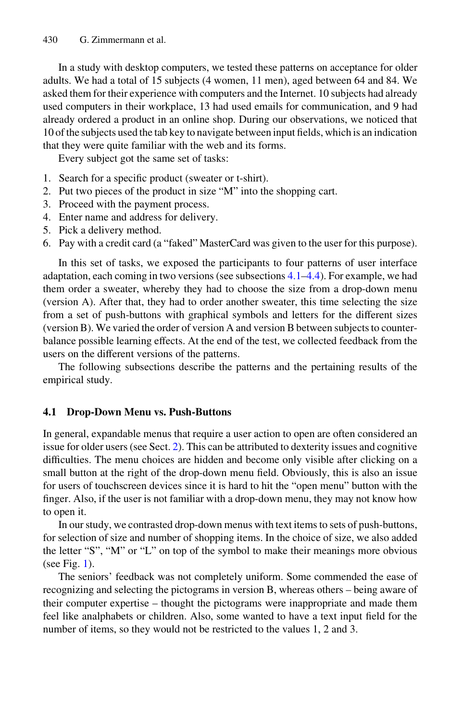<span id="page-4-0"></span>In a study with desktop computers, we tested these patterns on acceptance for older adults. We had a total of 15 subjects (4 women, 11 men), aged between 64 and 84. We asked them for their experience with computers and the Internet. 10 subjects had already used computers in their workplace, 13 had used emails for communication, and 9 had already ordered a product in an online shop. During our observations, we noticed that 10 of the subjects used the tab key to navigate between input fields, which is an indication that they were quite familiar with the web and its forms.

Every subject got the same set of tasks:

- 1. Search for a specific product (sweater or t-shirt).
- 2. Put two pieces of the product in size "M" into the shopping cart.
- 3. Proceed with the payment process.
- 4. Enter name and address for delivery.
- 5. Pick a delivery method.
- 6. Pay with a credit card (a "faked" MasterCard was given to the user for this purpose).

In this set of tasks, we exposed the participants to four patterns of user interface adaptation, each coming in two versions (see subsections 4.1[–4.4\)](#page-5-0). For example, we had them order a sweater, whereby they had to choose the size from a drop-down menu (version A). After that, they had to order another sweater, this time selecting the size from a set of push-buttons with graphical symbols and letters for the different sizes (version B). We varied the order of version A and version B between subjects to counterbalance possible learning effects. At the end of the test, we collected feedback from the users on the different versions of the patterns.

The following subsections describe the patterns and the pertaining results of the empirical study.

#### **4.1 Drop-Down Menu vs. Push-Buttons**

In general, expandable menus that require a user action to open are often considered an issue for older users (see Sect. [2\)](#page-1-0). This can be attributed to dexterity issues and cognitive difficulties. The menu choices are hidden and become only visible after clicking on a small button at the right of the drop-down menu field. Obviously, this is also an issue for users of touchscreen devices since it is hard to hit the "open menu" button with the finger. Also, if the user is not familiar with a drop-down menu, they may not know how to open it.

In our study, we contrasted drop-down menus with text items to sets of push-buttons, for selection of size and number of shopping items. In the choice of size, we also added the letter "S", "M" or "L" on top of the symbol to make their meanings more obvious (see Fig. [1\)](#page-5-0).

The seniors' feedback was not completely uniform. Some commended the ease of recognizing and selecting the pictograms in version B, whereas others – being aware of their computer expertise – thought the pictograms were inappropriate and made them feel like analphabets or children. Also, some wanted to have a text input field for the number of items, so they would not be restricted to the values 1, 2 and 3.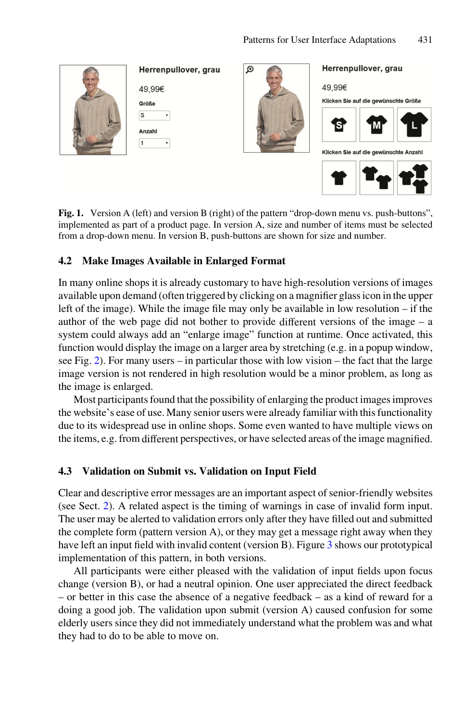<span id="page-5-0"></span>

**Fig. 1.** Version A (left) and version B (right) of the pattern "drop-down menu vs. push-buttons", implemented as part of a product page. In version A, size and number of items must be selected from a drop-down menu. In version B, push-buttons are shown for size and number.

#### **4.2 Make Images Available in Enlarged Format**

In many online shops it is already customary to have high-resolution versions of images available upon demand (often triggered by clicking on a magnifier glass icon in the upper left of the image). While the image file may only be available in low resolution – if the author of the web page did not bother to provide different versions of the image – a system could always add an "enlarge image" function at runtime. Once activated, this function would display the image on a larger area by stretching (e.g. in a popup window, see Fig. [2\)](#page-6-0). For many users – in particular those with low vision – the fact that the large image version is not rendered in high resolution would be a minor problem, as long as the image is enlarged.

Most participants found that the possibility of enlarging the product images improves the website's ease of use. Many senior users were already familiar with this functionality due to its widespread use in online shops. Some even wanted to have multiple views on the items, e.g. from different perspectives, or have selected areas of the image magnified.

#### **4.3 Validation on Submit vs. Validation on Input Field**

Clear and descriptive error messages are an important aspect of senior-friendly websites (see Sect. [2](#page-1-0)). A related aspect is the timing of warnings in case of invalid form input. The user may be alerted to validation errors only after they have filled out and submitted the complete form (pattern version A), or they may get a message right away when they have left an input field with invalid content (version B). Figure [3](#page-6-0) shows our prototypical implementation of this pattern, in both versions.

All participants were either pleased with the validation of input fields upon focus change (version B), or had a neutral opinion. One user appreciated the direct feedback – or better in this case the absence of a negative feedback – as a kind of reward for a doing a good job. The validation upon submit (version A) caused confusion for some elderly users since they did not immediately understand what the problem was and what they had to do to be able to move on.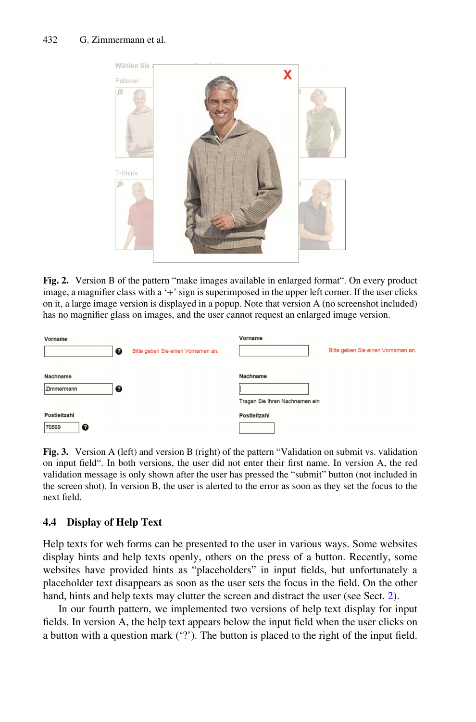<span id="page-6-0"></span>

**Fig. 2.** Version B of the pattern "make images available in enlarged format". On every product image, a magnifier class with a '+' sign is superimposed in the upper left corner. If the user clicks on it, a large image version is displayed in a popup. Note that version A (no screenshot included) has no magnifier glass on images, and the user cannot request an enlarged image version.

| Vorname      | ℯ | Bitte geben Sie einen Vornamen an. | Vorname                        | Bitte geben Sie einen Vornamen an. |
|--------------|---|------------------------------------|--------------------------------|------------------------------------|
| Nachname     |   |                                    | Nachname                       |                                    |
| Zimmermann   | B |                                    |                                |                                    |
|              |   |                                    | Tragen Sie Ihren Nachnamen ein |                                    |
| Postleitzahl |   |                                    | Postleitzahl                   |                                    |
| ❸<br>70569   |   |                                    |                                |                                    |

**Fig. 3.** Version A (left) and version B (right) of the pattern "Validation on submit vs. validation on input field". In both versions, the user did not enter their first name. In version A, the red validation message is only shown after the user has pressed the "submit" button (not included in the screen shot). In version B, the user is alerted to the error as soon as they set the focus to the next field.

## **4.4 Display of Help Text**

Help texts for web forms can be presented to the user in various ways. Some websites display hints and help texts openly, others on the press of a button. Recently, some websites have provided hints as "placeholders" in input fields, but unfortunately a placeholder text disappears as soon as the user sets the focus in the field. On the other hand, hints and help texts may clutter the screen and distract the user (see Sect. [2](#page-1-0)).

In our fourth pattern, we implemented two versions of help text display for input fields. In version A, the help text appears below the input field when the user clicks on a button with a question mark ('?'). The button is placed to the right of the input field.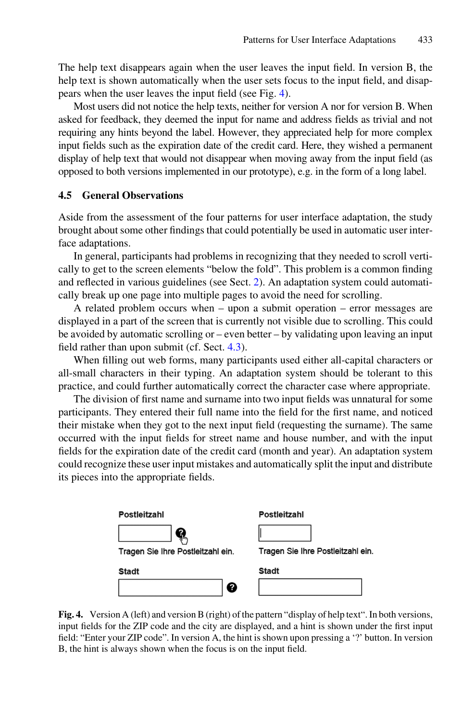The help text disappears again when the user leaves the input field. In version B, the help text is shown automatically when the user sets focus to the input field, and disappears when the user leaves the input field (see Fig. 4).

Most users did not notice the help texts, neither for version A nor for version B. When asked for feedback, they deemed the input for name and address fields as trivial and not requiring any hints beyond the label. However, they appreciated help for more complex input fields such as the expiration date of the credit card. Here, they wished a permanent display of help text that would not disappear when moving away from the input field (as opposed to both versions implemented in our prototype), e.g. in the form of a long label.

#### **4.5 General Observations**

Aside from the assessment of the four patterns for user interface adaptation, the study brought about some other findings that could potentially be used in automatic user inter‐ face adaptations.

In general, participants had problems in recognizing that they needed to scroll vertically to get to the screen elements "below the fold". This problem is a common finding and reflected in various guidelines (see Sect. [2](#page-1-0)). An adaptation system could automatically break up one page into multiple pages to avoid the need for scrolling.

A related problem occurs when – upon a submit operation – error messages are displayed in a part of the screen that is currently not visible due to scrolling. This could be avoided by automatic scrolling or – even better – by validating upon leaving an input field rather than upon submit (cf. Sect. [4.3\)](#page-5-0).

When filling out web forms, many participants used either all-capital characters or all-small characters in their typing. An adaptation system should be tolerant to this practice, and could further automatically correct the character case where appropriate.

The division of first name and surname into two input fields was unnatural for some participants. They entered their full name into the field for the first name, and noticed their mistake when they got to the next input field (requesting the surname). The same occurred with the input fields for street name and house number, and with the input fields for the expiration date of the credit card (month and year). An adaptation system could recognize these user input mistakes and automatically split the input and distribute its pieces into the appropriate fields.

| <b>Postleitzahl</b>               | Postleitzahl                      |  |
|-----------------------------------|-----------------------------------|--|
|                                   |                                   |  |
| Tragen Sie Ihre Postleitzahl ein. | Tragen Sie Ihre Postleitzahl ein. |  |
| <b>Stadt</b>                      | <b>Stadt</b>                      |  |
| Ø                                 |                                   |  |

**Fig. 4.** Version A (left) and version B (right) of the pattern "display of help text". In both versions, input fields for the ZIP code and the city are displayed, and a hint is shown under the first input field: "Enter your ZIP code". In version A, the hint is shown upon pressing a '?' button. In version B, the hint is always shown when the focus is on the input field.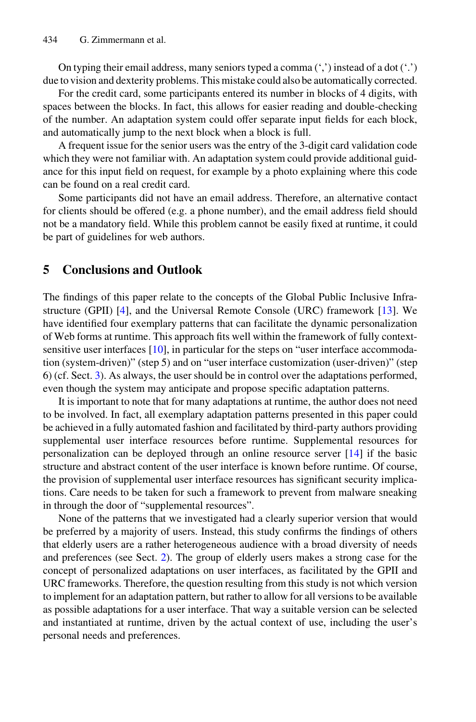<span id="page-8-0"></span>On typing their email address, many seniors typed a comma (',') instead of a dot ('.') due to vision and dexterity problems. This mistake could also be automatically corrected.

For the credit card, some participants entered its number in blocks of 4 digits, with spaces between the blocks. In fact, this allows for easier reading and double-checking of the number. An adaptation system could offer separate input fields for each block, and automatically jump to the next block when a block is full.

A frequent issue for the senior users was the entry of the 3-digit card validation code which they were not familiar with. An adaptation system could provide additional guidance for this input field on request, for example by a photo explaining where this code can be found on a real credit card.

Some participants did not have an email address. Therefore, an alternative contact for clients should be offered (e.g. a phone number), and the email address field should not be a mandatory field. While this problem cannot be easily fixed at runtime, it could be part of guidelines for web authors.

## **5 Conclusions and Outlook**

The findings of this paper relate to the concepts of the Global Public Inclusive Infrastructure (GPII) [[4\]](#page-9-0), and the Universal Remote Console (URC) framework [\[13](#page-10-0)]. We have identified four exemplary patterns that can facilitate the dynamic personalization of Web forms at runtime. This approach fits well within the framework of fully contextsensitive user interfaces  $[10]$  $[10]$ , in particular for the steps on "user interface accommodation (system-driven)" (step 5) and on "user interface customization (user-driven)" (step 6) (cf. Sect. [3\)](#page-2-0). As always, the user should be in control over the adaptations performed, even though the system may anticipate and propose specific adaptation patterns.

It is important to note that for many adaptations at runtime, the author does not need to be involved. In fact, all exemplary adaptation patterns presented in this paper could be achieved in a fully automated fashion and facilitated by third-party authors providing supplemental user interface resources before runtime. Supplemental resources for personalization can be deployed through an online resource server [\[14\]](#page-10-0) if the basic structure and abstract content of the user interface is known before runtime. Of course, the provision of supplemental user interface resources has significant security implications. Care needs to be taken for such a framework to prevent from malware sneaking in through the door of "supplemental resources".

None of the patterns that we investigated had a clearly superior version that would be preferred by a majority of users. Instead, this study confirms the findings of others that elderly users are a rather heterogeneous audience with a broad diversity of needs and preferences (see Sect. [2\)](#page-1-0). The group of elderly users makes a strong case for the concept of personalized adaptations on user interfaces, as facilitated by the GPII and URC frameworks. Therefore, the question resulting from this study is not which version to implement for an adaptation pattern, but rather to allow for all versions to be available as possible adaptations for a user interface. That way a suitable version can be selected and instantiated at runtime, driven by the actual context of use, including the user's personal needs and preferences.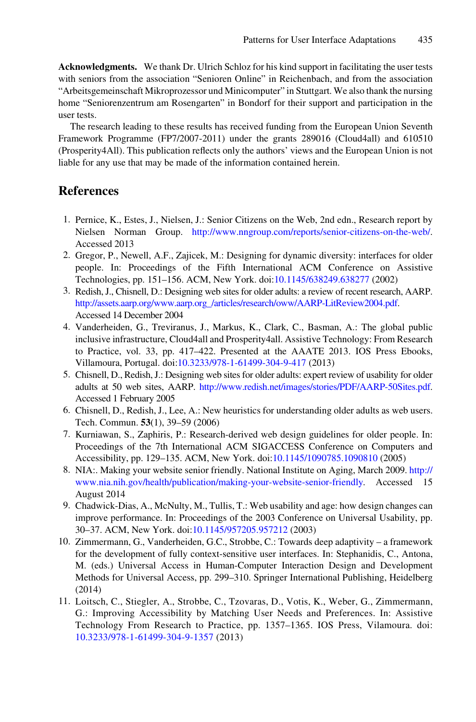<span id="page-9-0"></span>**Acknowledgments.** We thank Dr. Ulrich Schloz for his kind support in facilitating the user tests with seniors from the association "Senioren Online" in Reichenbach, and from the association "Arbeitsgemeinschaft Mikroprozessor und Minicomputer" in Stuttgart. We also thank the nursing home "Seniorenzentrum am Rosengarten" in Bondorf for their support and participation in the user tests.

The research leading to these results has received funding from the European Union Seventh Framework Programme (FP7/2007-2011) under the grants 289016 (Cloud4all) and 610510 (Prosperity4All). This publication reflects only the authors' views and the European Union is not liable for any use that may be made of the information contained herein.

### **References**

- 1. Pernice, K., Estes, J., Nielsen, J.: Senior Citizens on the Web, 2nd edn., Research report by Nielsen Norman Group. <http://www.nngroup.com/reports/senior-citizens-on-the-web/>. Accessed 2013
- 2. Gregor, P., Newell, A.F., Zajicek, M.: Designing for dynamic diversity: interfaces for older people. In: Proceedings of the Fifth International ACM Conference on Assistive Technologies, pp. 151–156. ACM, New York. doi[:10.1145/638249.638277](http://dx.doi.org/10.1145/638249.638277) (2002)
- 3. Redish, J., Chisnell, D.: Designing web sites for older adults: a review of recent research, AARP. [http://assets.aarp.org/www.aarp.org\\_/articles/research/oww/AARP-LitReview2004.pdf](http://assets.aarp.org/www.aarp.org_/articles/research/oww/AARP-LitReview2004.pdf). Accessed 14 December 2004
- 4. Vanderheiden, G., Treviranus, J., Markus, K., Clark, C., Basman, A.: The global public inclusive infrastructure, Cloud4all and Prosperity4all. Assistive Technology: From Research to Practice, vol. 33, pp. 417–422. Presented at the AAATE 2013. IOS Press Ebooks, Villamoura, Portugal. doi[:10.3233/978-1-61499-304-9-417](http://dx.doi.org/10.3233/978-1-61499-304-9-417) (2013)
- 5. Chisnell, D., Redish, J.: Designing web sites for older adults: expert review of usability for older adults at 50 web sites, AARP. <http://www.redish.net/images/stories/PDF/AARP-50Sites.pdf>. Accessed 1 February 2005
- 6. Chisnell, D., Redish, J., Lee, A.: New heuristics for understanding older adults as web users. Tech. Commun. **53**(1), 39–59 (2006)
- 7. Kurniawan, S., Zaphiris, P.: Research-derived web design guidelines for older people. In: Proceedings of the 7th International ACM SIGACCESS Conference on Computers and Accessibility, pp. 129–135. ACM, New York. doi:[10.1145/1090785.1090810](http://dx.doi.org/10.1145/1090785.1090810) (2005)
- 8. NIA:. Making your website senior friendly. National Institute on Aging, March 2009. [http://](http://www.nia.nih.gov/health/publication/making-your-website-senior-friendly) [www.nia.nih.gov/health/publication/making-your-website-senior-friendly](http://www.nia.nih.gov/health/publication/making-your-website-senior-friendly). Accessed 15 August 2014
- 9. Chadwick-Dias, A., McNulty, M., Tullis, T.: Web usability and age: how design changes can improve performance. In: Proceedings of the 2003 Conference on Universal Usability, pp. 30–37. ACM, New York. doi:[10.1145/957205.957212](http://dx.doi.org/10.1145/957205.957212) (2003)
- 10. Zimmermann, G., Vanderheiden, G.C., Strobbe, C.: Towards deep adaptivity a framework for the development of fully context-sensitive user interfaces. In: Stephanidis, C., Antona, M. (eds.) Universal Access in Human-Computer Interaction Design and Development Methods for Universal Access, pp. 299–310. Springer International Publishing, Heidelberg (2014)
- 11. Loitsch, C., Stiegler, A., Strobbe, C., Tzovaras, D., Votis, K., Weber, G., Zimmermann, G.: Improving Accessibility by Matching User Needs and Preferences. In: Assistive Technology From Research to Practice, pp. 1357–1365. IOS Press, Vilamoura. doi: [10.3233/978-1-61499-304-9-1357](http://dx.doi.org/10.3233/978-1-61499-304-9-1357) (2013)